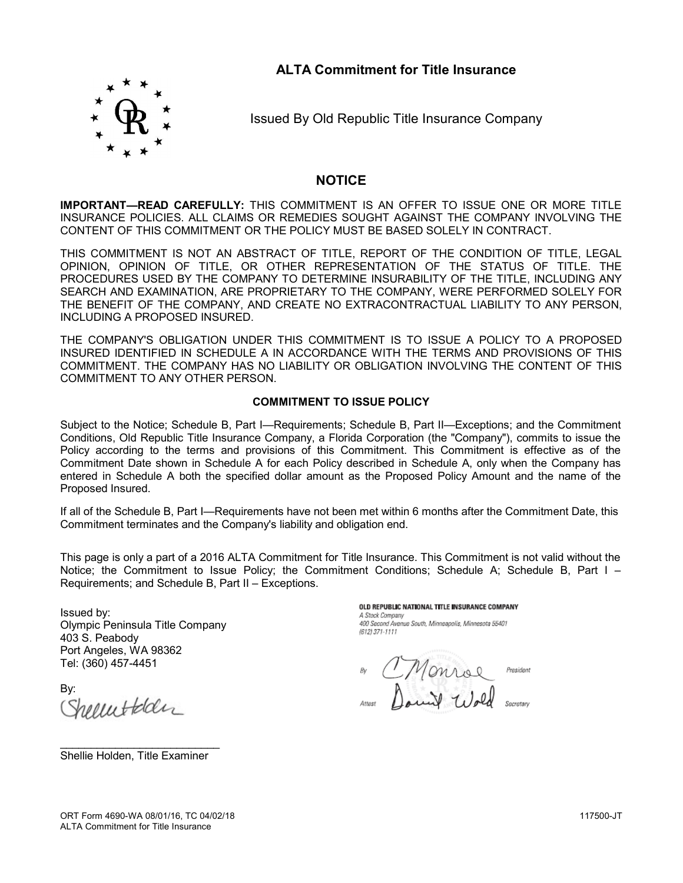## **ALTA Commitment for Title Insurance**



Issued By Old Republic Title Insurance Company

### **NOTICE**

**IMPORTANT—READ CAREFULLY:** THIS COMMITMENT IS AN OFFER TO ISSUE ONE OR MORE TITLE INSURANCE POLICIES. ALL CLAIMS OR REMEDIES SOUGHT AGAINST THE COMPANY INVOLVING THE CONTENT OF THIS COMMITMENT OR THE POLICY MUST BE BASED SOLELY IN CONTRACT.

THIS COMMITMENT IS NOT AN ABSTRACT OF TITLE, REPORT OF THE CONDITION OF TITLE, LEGAL OPINION, OPINION OF TITLE, OR OTHER REPRESENTATION OF THE STATUS OF TITLE. THE PROCEDURES USED BY THE COMPANY TO DETERMINE INSURABILITY OF THE TITLE, INCLUDING ANY SEARCH AND EXAMINATION, ARE PROPRIETARY TO THE COMPANY, WERE PERFORMED SOLELY FOR THE BENEFIT OF THE COMPANY, AND CREATE NO EXTRACONTRACTUAL LIABILITY TO ANY PERSON, INCLUDING A PROPOSED INSURED.

THE COMPANY'S OBLIGATION UNDER THIS COMMITMENT IS TO ISSUE A POLICY TO A PROPOSED INSURED IDENTIFIED IN SCHEDULE A IN ACCORDANCE WITH THE TERMS AND PROVISIONS OF THIS COMMITMENT. THE COMPANY HAS NO LIABILITY OR OBLIGATION INVOLVING THE CONTENT OF THIS COMMITMENT TO ANY OTHER PERSON.

#### **COMMITMENT TO ISSUE POLICY**

Subject to the Notice; Schedule B, Part I—Requirements; Schedule B, Part II—Exceptions; and the Commitment Conditions, Old Republic Title Insurance Company, a Florida Corporation (the "Company"), commits to issue the Policy according to the terms and provisions of this Commitment. This Commitment is effective as of the Commitment Date shown in Schedule A for each Policy described in Schedule A, only when the Company has entered in Schedule A both the specified dollar amount as the Proposed Policy Amount and the name of the Proposed Insured.

If all of the Schedule B, Part I—Requirements have not been met within 6 months after the Commitment Date, this Commitment terminates and the Company's liability and obligation end.

This page is only a part of a 2016 ALTA Commitment for Title Insurance. This Commitment is not valid without the Notice; the Commitment to Issue Policy; the Commitment Conditions; Schedule A; Schedule B, Part I – Requirements; and Schedule B, Part II – Exceptions.

Issued by: Olympic Peninsula Title Company 403 S. Peabody Port Angeles, WA 98362 Tel: (360) 457-4451

By: recuttedan

OLD REPUBLIC NATIONAL TITLE INSURANCE COMPANY A Stock Company 400 Second Avenue South, Minneapolis, Minnesota 55401 (612) 371-1111

Monroe President

\_\_\_\_\_\_\_\_\_\_\_\_\_\_\_\_\_\_\_\_\_\_\_\_\_\_ Shellie Holden, Title Examiner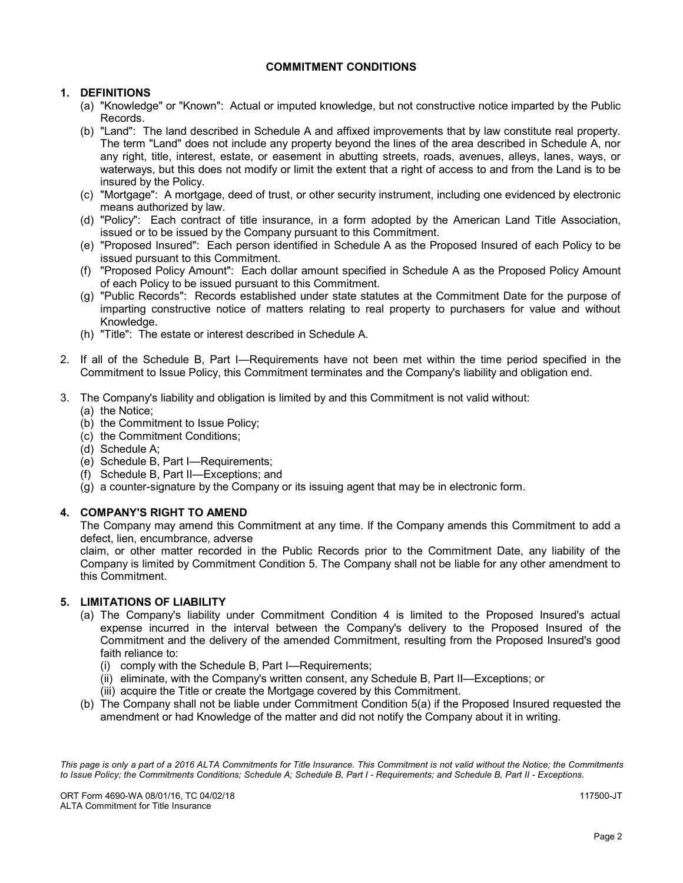### **COMMITMENT CONDITIONS**

### **1. DEFINITIONS**

- (a) "Knowledge" or "Known": Actual or imputed knowledge, but not constructive notice imparted by the Public Records.
- (b) "Land": The land described in Schedule A and affixed improvements that by law constitute real property. The term "Land" does not include any property beyond the lines of the area described in Schedule A, nor any right, title, interest, estate, or easement in abutting streets, roads, avenues, alleys, lanes, ways, or waterways, but this does not modify or limit the extent that a right of access to and from the Land is to be insured by the Policy.
- (c) "Mortgage": A mortgage, deed of trust, or other security instrument, including one evidenced by electronic means authorized by law.
- (d) "Policy": Each contract of title insurance, in a form adopted by the American Land Title Association, issued or to be issued by the Company pursuant to this Commitment.
- (e) "Proposed Insured": Each person identified in Schedule A as the Proposed Insured of each Policy to be issued pursuant to this Commitment.
- (f) "Proposed Policy Amount": Each dollar amount specified in Schedule A as the Proposed Policy Amount of each Policy to be issued pursuant to this Commitment.
- (g) "Public Records": Records established under state statutes at the Commitment Date for the purpose of imparting constructive notice of matters relating to real property to purchasers for value and without Knowledge.
- (h) "Title": The estate or interest described in Schedule A.
- 2. If all of the Schedule B, Part I—Requirements have not been met within the time period specified in the Commitment to Issue Policy, this Commitment terminates and the Company's liability and obligation end.
- 3. The Company's liability and obligation is limited by and this Commitment is not valid without:
	- (a) the Notice;
	- (b) the Commitment to Issue Policy;
	- (c) the Commitment Conditions;
	- (d) Schedule A;
	- (e) Schedule B, Part I—Requirements;
	- (f) Schedule B, Part II—Exceptions; and
	- (g) a counter-signature by the Company or its issuing agent that may be in electronic form.

#### **4. COMPANY'S RIGHT TO AMEND**

The Company may amend this Commitment at any time. If the Company amends this Commitment to add a defect, lien, encumbrance, adverse

claim, or other matter recorded in the Public Records prior to the Commitment Date, any liability of the Company is limited by Commitment Condition 5. The Company shall not be liable for any other amendment to this Commitment.

#### **5. LIMITATIONS OF LIABILITY**

- (a) The Company's liability under Commitment Condition 4 is limited to the Proposed Insured's actual expense incurred in the interval between the Company's delivery to the Proposed Insured of the Commitment and the delivery of the amended Commitment, resulting from the Proposed Insured's good faith reliance to:
	- (i) comply with the Schedule B, Part I—Requirements;
	- (ii) eliminate, with the Company's written consent, any Schedule B, Part II—Exceptions; or
	- (iii) acquire the Title or create the Mortgage covered by this Commitment.
- (b) The Company shall not be liable under Commitment Condition 5(a) if the Proposed Insured requested the amendment or had Knowledge of the matter and did not notify the Company about it in writing.

*This page is only a part of a 2016 ALTA Commitments for Title Insurance. This Commitment is not valid without the Notice; the Commitments to Issue Policy; the Commitments Conditions; Schedule A; Schedule B, Part I - Requirements; and Schedule B, Part II - Exceptions.*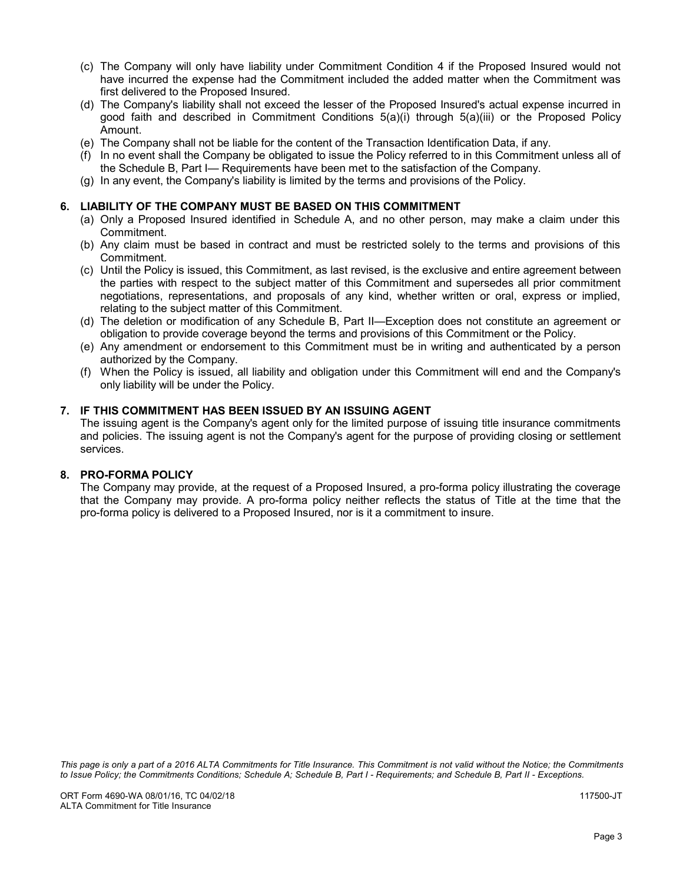- (c) The Company will only have liability under Commitment Condition 4 if the Proposed Insured would not have incurred the expense had the Commitment included the added matter when the Commitment was first delivered to the Proposed Insured.
- (d) The Company's liability shall not exceed the lesser of the Proposed Insured's actual expense incurred in good faith and described in Commitment Conditions 5(a)(i) through 5(a)(iii) or the Proposed Policy Amount.
- (e) The Company shall not be liable for the content of the Transaction Identification Data, if any.
- (f) In no event shall the Company be obligated to issue the Policy referred to in this Commitment unless all of the Schedule B, Part I— Requirements have been met to the satisfaction of the Company.
- (g) In any event, the Company's liability is limited by the terms and provisions of the Policy.

#### **6. LIABILITY OF THE COMPANY MUST BE BASED ON THIS COMMITMENT**

- (a) Only a Proposed Insured identified in Schedule A, and no other person, may make a claim under this Commitment.
- (b) Any claim must be based in contract and must be restricted solely to the terms and provisions of this Commitment.
- (c) Until the Policy is issued, this Commitment, as last revised, is the exclusive and entire agreement between the parties with respect to the subject matter of this Commitment and supersedes all prior commitment negotiations, representations, and proposals of any kind, whether written or oral, express or implied, relating to the subject matter of this Commitment.
- (d) The deletion or modification of any Schedule B, Part II—Exception does not constitute an agreement or obligation to provide coverage beyond the terms and provisions of this Commitment or the Policy.
- (e) Any amendment or endorsement to this Commitment must be in writing and authenticated by a person authorized by the Company.
- (f) When the Policy is issued, all liability and obligation under this Commitment will end and the Company's only liability will be under the Policy.

### **7. IF THIS COMMITMENT HAS BEEN ISSUED BY AN ISSUING AGENT**

The issuing agent is the Company's agent only for the limited purpose of issuing title insurance commitments and policies. The issuing agent is not the Company's agent for the purpose of providing closing or settlement services.

#### **8. PRO-FORMA POLICY**

The Company may provide, at the request of a Proposed Insured, a pro-forma policy illustrating the coverage that the Company may provide. A pro-forma policy neither reflects the status of Title at the time that the pro-forma policy is delivered to a Proposed Insured, nor is it a commitment to insure.

*This page is only a part of a 2016 ALTA Commitments for Title Insurance. This Commitment is not valid without the Notice; the Commitments to Issue Policy; the Commitments Conditions; Schedule A; Schedule B, Part I - Requirements; and Schedule B, Part II - Exceptions.*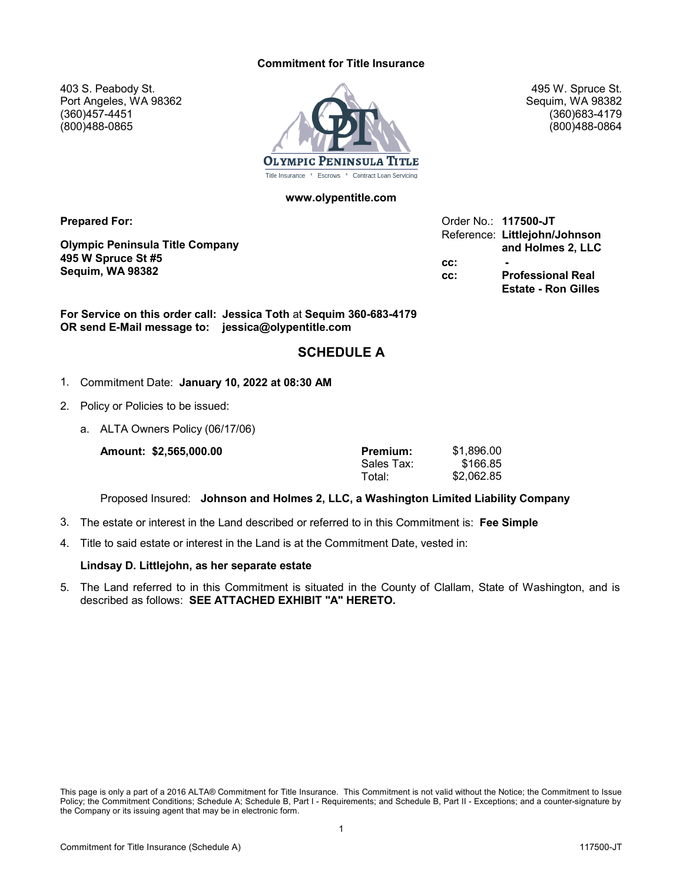#### **Commitment for Title Insurance**

403 S. Peabody St. Port Angeles, WA 98362 (360)457-4451 (800)488-0865



**www.olypentitle.com**

**Prepared For:**

**Olympic Peninsula Title Company 495 W Spruce St #5 Sequim, WA 98382**

Order No.: **117500-JT** Reference: **Littlejohn/Johnson and Holmes 2, LLC cc: cc: Professional Real Estate - Ron Gilles**

495 W. Spruce St. Sequim, WA 98382 (360)683-4179 (800)488-0864

**For Service on this order call: Jessica Toth** at **Sequim 360-683-4179 OR send E-Mail message to: jessica@olypentitle.com**

## **SCHEDULE A**

- 1. Commitment Date: **January 10, 2022 at 08:30 AM**
- 2. Policy or Policies to be issued:
	- a. ALTA Owners Policy (06/17/06)

**Amount: \$2,565,000.00 Premium:**

| Premium:   | \$1,896.00 |
|------------|------------|
| Sales Tax: | \$166.85   |
| Total:     | \$2,062.85 |

Proposed Insured: **Johnson and Holmes 2, LLC, a Washington Limited Liability Company**

- 3. The estate or interest in the Land described or referred to in this Commitment is: **Fee Simple**
- 4. Title to said estate or interest in the Land is at the Commitment Date, vested in:

#### **Lindsay D. Littlejohn, as her separate estate**

5. The Land referred to in this Commitment is situated in the County of Clallam, State of Washington, and is described as follows: **SEE ATTACHED EXHIBIT "A" HERETO.**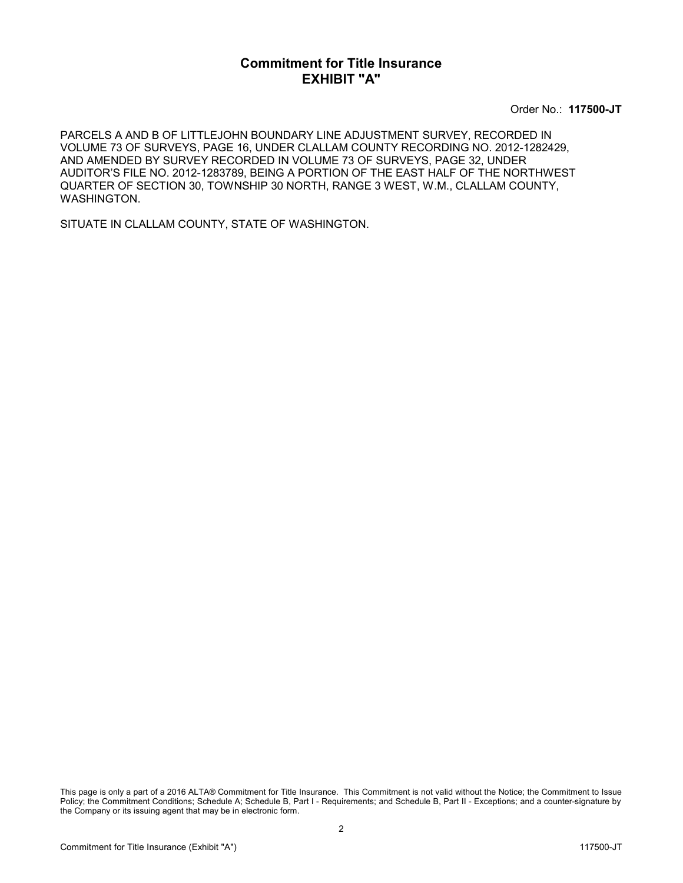## **Commitment for Title Insurance EXHIBIT "A"**

Order No.: **117500-JT**

PARCELS A AND B OF LITTLEJOHN BOUNDARY LINE ADJUSTMENT SURVEY, RECORDED IN VOLUME 73 OF SURVEYS, PAGE 16, UNDER CLALLAM COUNTY RECORDING NO. 2012-1282429, AND AMENDED BY SURVEY RECORDED IN VOLUME 73 OF SURVEYS, PAGE 32, UNDER AUDITOR'S FILE NO. 2012-1283789, BEING A PORTION OF THE EAST HALF OF THE NORTHWEST QUARTER OF SECTION 30, TOWNSHIP 30 NORTH, RANGE 3 WEST, W.M., CLALLAM COUNTY, WASHINGTON.

SITUATE IN CLALLAM COUNTY, STATE OF WASHINGTON.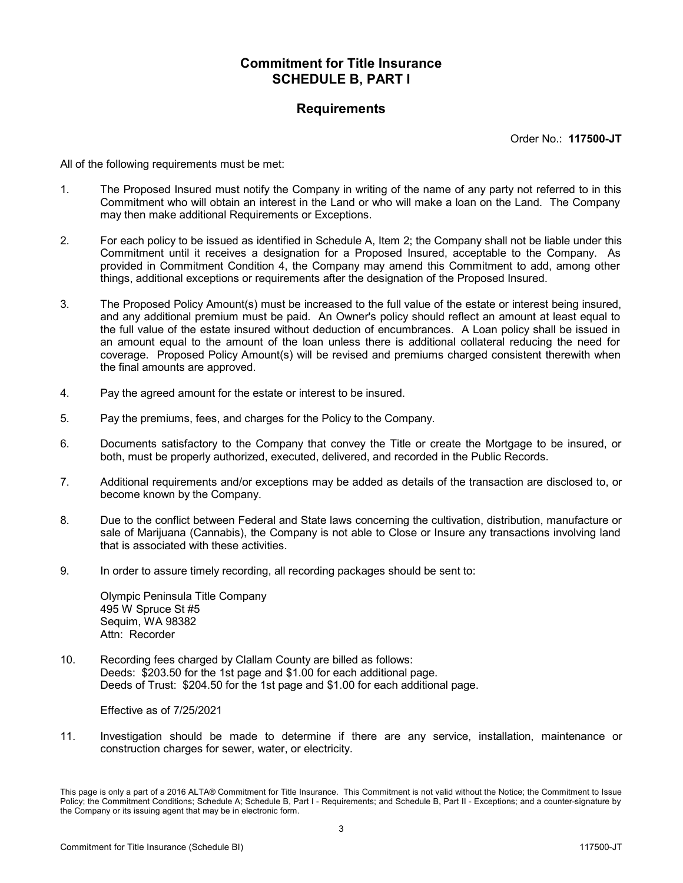### **Requirements**

Order No.: **117500-JT**

All of the following requirements must be met:

- 1. The Proposed Insured must notify the Company in writing of the name of any party not referred to in this Commitment who will obtain an interest in the Land or who will make a loan on the Land. The Company may then make additional Requirements or Exceptions.
- 2. For each policy to be issued as identified in Schedule A, Item 2; the Company shall not be liable under this Commitment until it receives a designation for a Proposed Insured, acceptable to the Company. As provided in Commitment Condition 4, the Company may amend this Commitment to add, among other things, additional exceptions or requirements after the designation of the Proposed Insured.
- 3. The Proposed Policy Amount(s) must be increased to the full value of the estate or interest being insured, and any additional premium must be paid. An Owner's policy should reflect an amount at least equal to the full value of the estate insured without deduction of encumbrances. A Loan policy shall be issued in an amount equal to the amount of the loan unless there is additional collateral reducing the need for coverage. Proposed Policy Amount(s) will be revised and premiums charged consistent therewith when the final amounts are approved.
- 4. Pay the agreed amount for the estate or interest to be insured.
- 5. Pay the premiums, fees, and charges for the Policy to the Company.
- 6. Documents satisfactory to the Company that convey the Title or create the Mortgage to be insured, or both, must be properly authorized, executed, delivered, and recorded in the Public Records.
- 7. Additional requirements and/or exceptions may be added as details of the transaction are disclosed to, or become known by the Company.
- 8. Due to the conflict between Federal and State laws concerning the cultivation, distribution, manufacture or sale of Marijuana (Cannabis), the Company is not able to Close or Insure any transactions involving land that is associated with these activities.
- 9. In order to assure timely recording, all recording packages should be sent to:

Olympic Peninsula Title Company 495 W Spruce St #5 Sequim, WA 98382 Attn: Recorder

10. Recording fees charged by Clallam County are billed as follows: Deeds: \$203.50 for the 1st page and \$1.00 for each additional page. Deeds of Trust: \$204.50 for the 1st page and \$1.00 for each additional page.

Effective as of 7/25/2021

11. Investigation should be made to determine if there are any service, installation, maintenance or construction charges for sewer, water, or electricity.

This page is only a part of a 2016 ALTA® Commitment for Title Insurance. This Commitment is not valid without the Notice; the Commitment to Issue Policy; the Commitment Conditions; Schedule A; Schedule B, Part I - Requirements; and Schedule B, Part II - Exceptions; and a counter-signature by the Company or its issuing agent that may be in electronic form.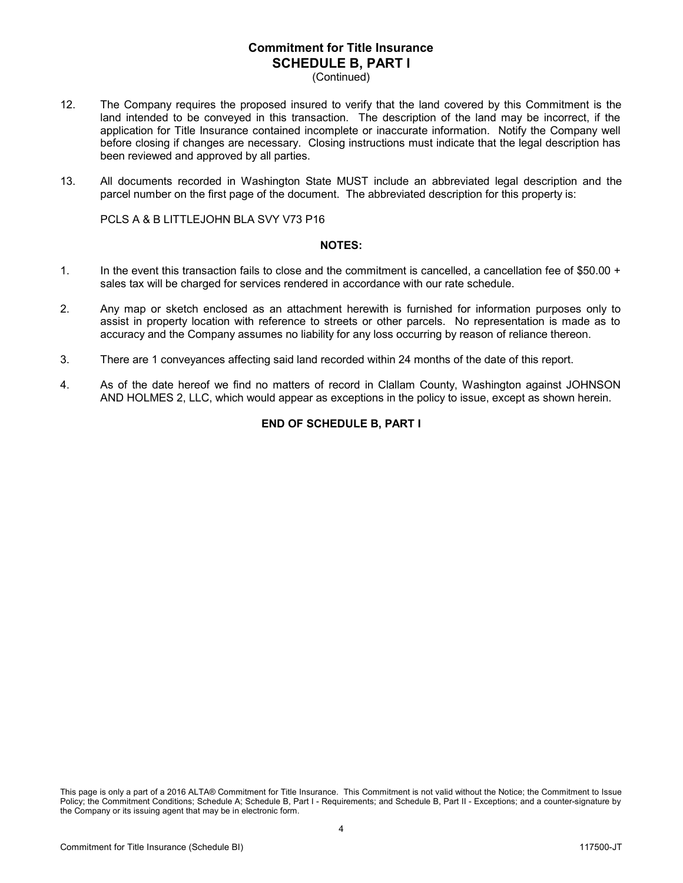(Continued)

- 12. The Company requires the proposed insured to verify that the land covered by this Commitment is the land intended to be conveyed in this transaction. The description of the land may be incorrect, if the application for Title Insurance contained incomplete or inaccurate information. Notify the Company well before closing if changes are necessary. Closing instructions must indicate that the legal description has been reviewed and approved by all parties.
- 13. All documents recorded in Washington State MUST include an abbreviated legal description and the parcel number on the first page of the document. The abbreviated description for this property is:

PCLS A & B LITTLEJOHN BLA SVY V73 P16

#### **NOTES:**

- 1. In the event this transaction fails to close and the commitment is cancelled, a cancellation fee of \$50.00 + sales tax will be charged for services rendered in accordance with our rate schedule.
- 2. Any map or sketch enclosed as an attachment herewith is furnished for information purposes only to assist in property location with reference to streets or other parcels. No representation is made as to accuracy and the Company assumes no liability for any loss occurring by reason of reliance thereon.
- 3. There are 1 conveyances affecting said land recorded within 24 months of the date of this report.
- 4. As of the date hereof we find no matters of record in Clallam County, Washington against JOHNSON AND HOLMES 2, LLC, which would appear as exceptions in the policy to issue, except as shown herein.

#### **END OF SCHEDULE B, PART I**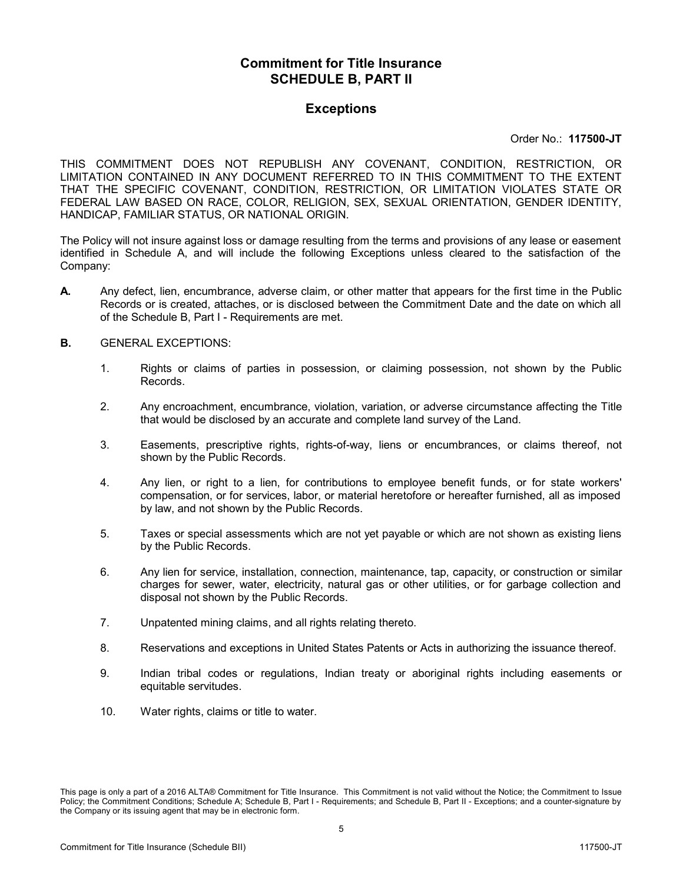## **Exceptions**

#### Order No.: **117500-JT**

THIS COMMITMENT DOES NOT REPUBLISH ANY COVENANT, CONDITION, RESTRICTION, OR LIMITATION CONTAINED IN ANY DOCUMENT REFERRED TO IN THIS COMMITMENT TO THE EXTENT THAT THE SPECIFIC COVENANT, CONDITION, RESTRICTION, OR LIMITATION VIOLATES STATE OR FEDERAL LAW BASED ON RACE, COLOR, RELIGION, SEX, SEXUAL ORIENTATION, GENDER IDENTITY, HANDICAP, FAMILIAR STATUS, OR NATIONAL ORIGIN.

The Policy will not insure against loss or damage resulting from the terms and provisions of any lease or easement identified in Schedule A, and will include the following Exceptions unless cleared to the satisfaction of the Company:

- **A.** Any defect, lien, encumbrance, adverse claim, or other matter that appears for the first time in the Public Records or is created, attaches, or is disclosed between the Commitment Date and the date on which all of the Schedule B, Part I - Requirements are met.
- **B.** GENERAL EXCEPTIONS:
	- 1. Rights or claims of parties in possession, or claiming possession, not shown by the Public Records.
	- 2. Any encroachment, encumbrance, violation, variation, or adverse circumstance affecting the Title that would be disclosed by an accurate and complete land survey of the Land.
	- 3. Easements, prescriptive rights, rights-of-way, liens or encumbrances, or claims thereof, not shown by the Public Records.
	- 4. Any lien, or right to a lien, for contributions to employee benefit funds, or for state workers' compensation, or for services, labor, or material heretofore or hereafter furnished, all as imposed by law, and not shown by the Public Records.
	- 5. Taxes or special assessments which are not yet payable or which are not shown as existing liens by the Public Records.
	- 6. Any lien for service, installation, connection, maintenance, tap, capacity, or construction or similar charges for sewer, water, electricity, natural gas or other utilities, or for garbage collection and disposal not shown by the Public Records.
	- 7. Unpatented mining claims, and all rights relating thereto.
	- 8. Reservations and exceptions in United States Patents or Acts in authorizing the issuance thereof.
	- 9. Indian tribal codes or regulations, Indian treaty or aboriginal rights including easements or equitable servitudes.
	- 10. Water rights, claims or title to water.

This page is only a part of a 2016 ALTA® Commitment for Title Insurance. This Commitment is not valid without the Notice; the Commitment to Issue Policy; the Commitment Conditions; Schedule A; Schedule B, Part I - Requirements; and Schedule B, Part II - Exceptions; and a counter-signature by the Company or its issuing agent that may be in electronic form.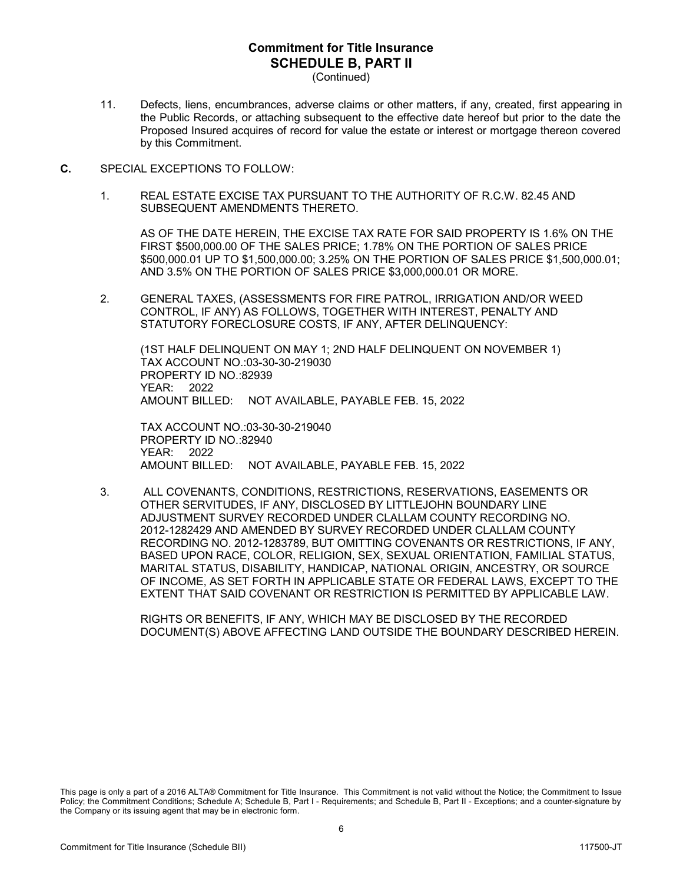(Continued)

- 11. Defects, liens, encumbrances, adverse claims or other matters, if any, created, first appearing in the Public Records, or attaching subsequent to the effective date hereof but prior to the date the Proposed Insured acquires of record for value the estate or interest or mortgage thereon covered by this Commitment.
- **C.** SPECIAL EXCEPTIONS TO FOLLOW:
	- 1. REAL ESTATE EXCISE TAX PURSUANT TO THE AUTHORITY OF R.C.W. 82.45 AND SUBSEQUENT AMENDMENTS THERETO.

AS OF THE DATE HEREIN, THE EXCISE TAX RATE FOR SAID PROPERTY IS 1.6% ON THE FIRST \$500,000.00 OF THE SALES PRICE; 1.78% ON THE PORTION OF SALES PRICE \$500,000.01 UP TO \$1,500,000.00; 3.25% ON THE PORTION OF SALES PRICE \$1,500,000.01; AND 3.5% ON THE PORTION OF SALES PRICE \$3,000,000.01 OR MORE.

2. GENERAL TAXES, (ASSESSMENTS FOR FIRE PATROL, IRRIGATION AND/OR WEED CONTROL, IF ANY) AS FOLLOWS, TOGETHER WITH INTEREST, PENALTY AND STATUTORY FORECLOSURE COSTS, IF ANY, AFTER DELINQUENCY:

(1ST HALF DELINQUENT ON MAY 1; 2ND HALF DELINQUENT ON NOVEMBER 1) TAX ACCOUNT NO.:03-30-30-219030 PROPERTY ID NO.:82939 YEAR: 2022 AMOUNT BILLED: NOT AVAILABLE, PAYABLE FEB. 15, 2022

TAX ACCOUNT NO.:03-30-30-219040 PROPERTY ID NO.:82940 YEAR: 2022 AMOUNT BILLED: NOT AVAILABLE, PAYABLE FEB. 15, 2022

3. ALL COVENANTS, CONDITIONS, RESTRICTIONS, RESERVATIONS, EASEMENTS OR OTHER SERVITUDES, IF ANY, DISCLOSED BY LITTLEJOHN BOUNDARY LINE ADJUSTMENT SURVEY RECORDED UNDER CLALLAM COUNTY RECORDING NO. 2012-1282429 AND AMENDED BY SURVEY RECORDED UNDER CLALLAM COUNTY RECORDING NO. 2012-1283789, BUT OMITTING COVENANTS OR RESTRICTIONS, IF ANY, BASED UPON RACE, COLOR, RELIGION, SEX, SEXUAL ORIENTATION, FAMILIAL STATUS, MARITAL STATUS, DISABILITY, HANDICAP, NATIONAL ORIGIN, ANCESTRY, OR SOURCE OF INCOME, AS SET FORTH IN APPLICABLE STATE OR FEDERAL LAWS, EXCEPT TO THE EXTENT THAT SAID COVENANT OR RESTRICTION IS PERMITTED BY APPLICABLE LAW.

RIGHTS OR BENEFITS, IF ANY, WHICH MAY BE DISCLOSED BY THE RECORDED DOCUMENT(S) ABOVE AFFECTING LAND OUTSIDE THE BOUNDARY DESCRIBED HEREIN.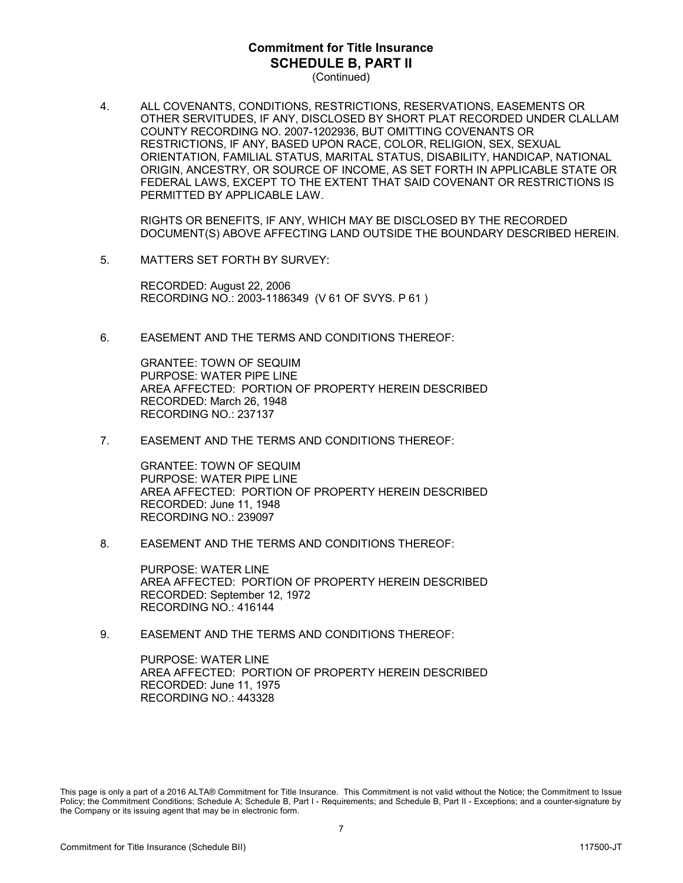(Continued)

4. ALL COVENANTS, CONDITIONS, RESTRICTIONS, RESERVATIONS, EASEMENTS OR OTHER SERVITUDES, IF ANY, DISCLOSED BY SHORT PLAT RECORDED UNDER CLALLAM COUNTY RECORDING NO. 2007-1202936, BUT OMITTING COVENANTS OR RESTRICTIONS, IF ANY, BASED UPON RACE, COLOR, RELIGION, SEX, SEXUAL ORIENTATION, FAMILIAL STATUS, MARITAL STATUS, DISABILITY, HANDICAP, NATIONAL ORIGIN, ANCESTRY, OR SOURCE OF INCOME, AS SET FORTH IN APPLICABLE STATE OR FEDERAL LAWS, EXCEPT TO THE EXTENT THAT SAID COVENANT OR RESTRICTIONS IS PERMITTED BY APPLICABLE LAW.

RIGHTS OR BENEFITS, IF ANY, WHICH MAY BE DISCLOSED BY THE RECORDED DOCUMENT(S) ABOVE AFFECTING LAND OUTSIDE THE BOUNDARY DESCRIBED HEREIN.

5. MATTERS SET FORTH BY SURVEY:

RECORDED: August 22, 2006 RECORDING NO.: 2003-1186349 (V 61 OF SVYS. P 61 )

6. EASEMENT AND THE TERMS AND CONDITIONS THEREOF:

GRANTEE: TOWN OF SEQUIM PURPOSE: WATER PIPE LINE AREA AFFECTED: PORTION OF PROPERTY HEREIN DESCRIBED RECORDED: March 26, 1948 RECORDING NO.: 237137

7. EASEMENT AND THE TERMS AND CONDITIONS THEREOF:

GRANTEE: TOWN OF SEQUIM PURPOSE: WATER PIPE LINE AREA AFFECTED: PORTION OF PROPERTY HEREIN DESCRIBED RECORDED: June 11, 1948 RECORDING NO.: 239097

8. EASEMENT AND THE TERMS AND CONDITIONS THEREOF:

PURPOSE: WATER LINE AREA AFFECTED: PORTION OF PROPERTY HEREIN DESCRIBED RECORDED: September 12, 1972 RECORDING NO.: 416144

9. EASEMENT AND THE TERMS AND CONDITIONS THEREOF

PURPOSE: WATER LINE AREA AFFECTED: PORTION OF PROPERTY HEREIN DESCRIBED RECORDED: June 11, 1975 RECORDING NO.: 443328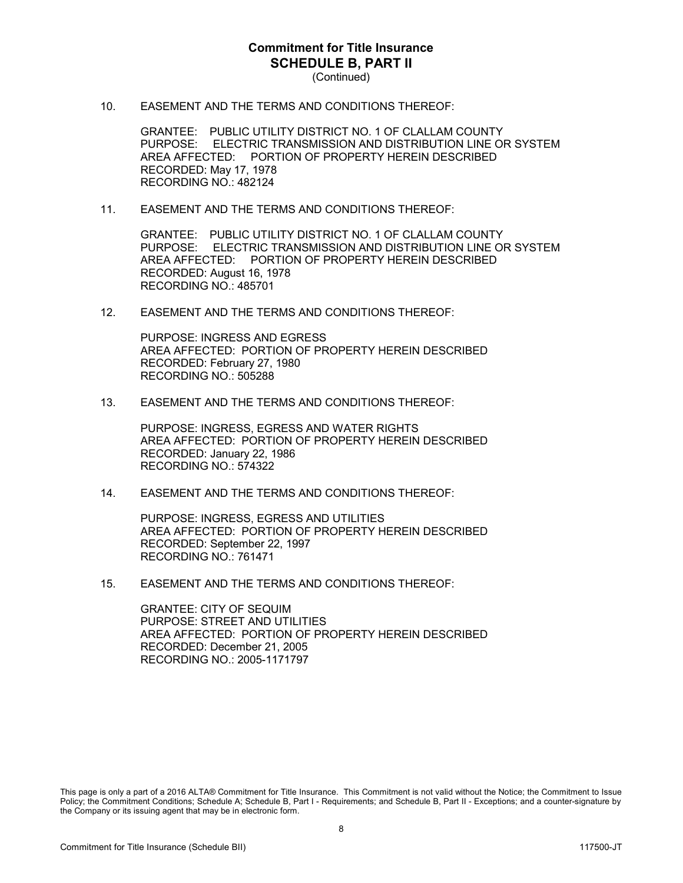(Continued)

10. EASEMENT AND THE TERMS AND CONDITIONS THEREOF:

GRANTEE: PUBLIC UTILITY DISTRICT NO. 1 OF CLALLAM COUNTY PURPOSE: ELECTRIC TRANSMISSION AND DISTRIBUTION LINE OR SYSTEM AREA AFFECTED: PORTION OF PROPERTY HEREIN DESCRIBED RECORDED: May 17, 1978 RECORDING NO.: 482124

11. EASEMENT AND THE TERMS AND CONDITIONS THEREOF:

GRANTEE: PUBLIC UTILITY DISTRICT NO. 1 OF CLALLAM COUNTY PURPOSE: ELECTRIC TRANSMISSION AND DISTRIBUTION LINE OR SYSTEM AREA AFFECTED: PORTION OF PROPERTY HEREIN DESCRIBED RECORDED: August 16, 1978 RECORDING NO.: 485701

12. EASEMENT AND THE TERMS AND CONDITIONS THEREOF:

PURPOSE: INGRESS AND EGRESS AREA AFFECTED: PORTION OF PROPERTY HEREIN DESCRIBED RECORDED: February 27, 1980 RECORDING NO.: 505288

13. EASEMENT AND THE TERMS AND CONDITIONS THEREOF:

PURPOSE: INGRESS, EGRESS AND WATER RIGHTS AREA AFFECTED: PORTION OF PROPERTY HEREIN DESCRIBED RECORDED: January 22, 1986 RECORDING NO.: 574322

14. EASEMENT AND THE TERMS AND CONDITIONS THEREOF:

PURPOSE: INGRESS, EGRESS AND UTILITIES AREA AFFECTED: PORTION OF PROPERTY HEREIN DESCRIBED RECORDED: September 22, 1997 RECORDING NO.: 761471

15. EASEMENT AND THE TERMS AND CONDITIONS THEREOF:

GRANTEE: CITY OF SEQUIM PURPOSE: STREET AND UTILITIES AREA AFFECTED: PORTION OF PROPERTY HEREIN DESCRIBED RECORDED: December 21, 2005 RECORDING NO.: 2005-1171797